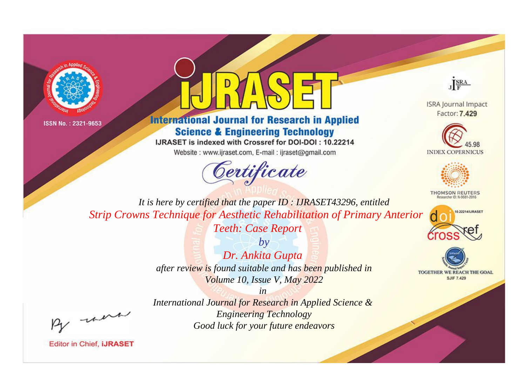



# **International Journal for Research in Applied Science & Engineering Technology**

IJRASET is indexed with Crossref for DOI-DOI: 10.22214

Website: www.ijraset.com, E-mail: ijraset@gmail.com



JERA

**ISRA Journal Impact** Factor: 7.429





**THOMSON REUTERS** 



TOGETHER WE REACH THE GOAL **SJIF 7.429** 

*It is here by certified that the paper ID : IJRASET43296, entitled Strip Crowns Technique for Aesthetic Rehabilitation of Primary Anterior* 

*Teeth: Case Report*

*by Dr. Ankita Gupta after review is found suitable and has been published in Volume 10, Issue V, May 2022*

*in* 

*International Journal for Research in Applied Science & Engineering Technology Good luck for your future endeavors*

, were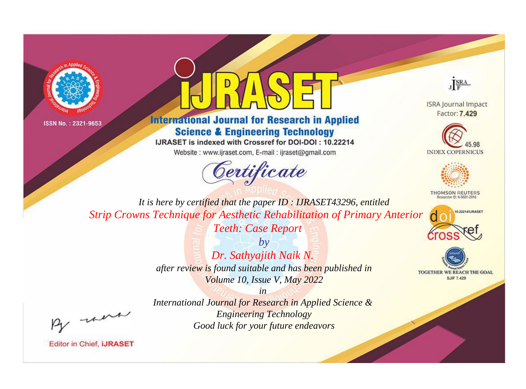



# **International Journal for Research in Applied Science & Engineering Technology**

IJRASET is indexed with Crossref for DOI-DOI: 10.22214

Website: www.ijraset.com, E-mail: ijraset@gmail.com



JERA

**ISRA Journal Impact** Factor: 7.429





**THOMSON REUTERS** 



TOGETHER WE REACH THE GOAL **SJIF 7.429** 

*It is here by certified that the paper ID : IJRASET43296, entitled Strip Crowns Technique for Aesthetic Rehabilitation of Primary Anterior* 

*Teeth: Case Report*

*by Dr. Sathyajith Naik N. after review is found suitable and has been published in Volume 10, Issue V, May 2022*

, un

*International Journal for Research in Applied Science & Engineering Technology Good luck for your future endeavors*

*in*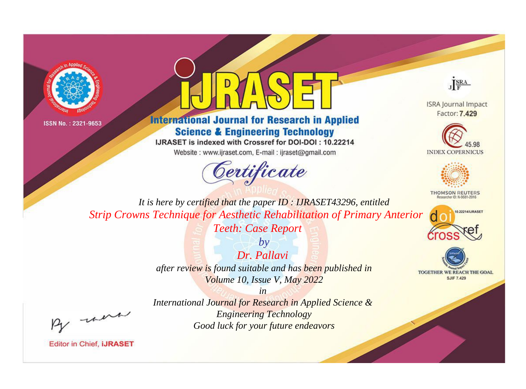



# **International Journal for Research in Applied Science & Engineering Technology**

IJRASET is indexed with Crossref for DOI-DOI: 10.22214

Website: www.ijraset.com, E-mail: ijraset@gmail.com





**ISRA Journal Impact** Factor: 7.429





**THOMSON REUTERS** 



TOGETHER WE REACH THE GOAL **SJIF 7.429** 

*It is here by certified that the paper ID : IJRASET43296, entitled Strip Crowns Technique for Aesthetic Rehabilitation of Primary Anterior* 

*Teeth: Case Report*

*Dr. Pallavi after review is found suitable and has been published in Volume 10, Issue V, May 2022*

*in* 

*by*

*International Journal for Research in Applied Science & Engineering Technology Good luck for your future endeavors*

, un

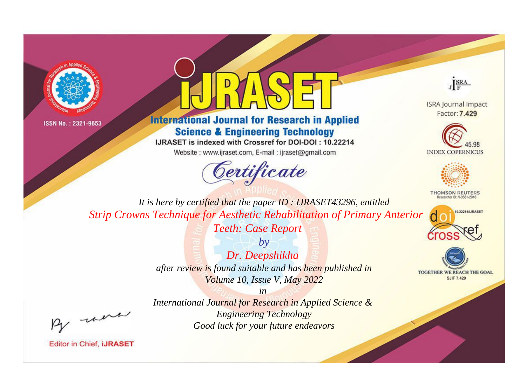



# **International Journal for Research in Applied Science & Engineering Technology**

IJRASET is indexed with Crossref for DOI-DOI: 10.22214

Website: www.ijraset.com, E-mail: ijraset@gmail.com



JERA

**ISRA Journal Impact** Factor: 7.429





**THOMSON REUTERS** 



TOGETHER WE REACH THE GOAL **SJIF 7.429** 

*It is here by certified that the paper ID : IJRASET43296, entitled Strip Crowns Technique for Aesthetic Rehabilitation of Primary Anterior* 

*Teeth: Case Report*

*by Dr. Deepshikha after review is found suitable and has been published in Volume 10, Issue V, May 2022*

, un

*International Journal for Research in Applied Science & Engineering Technology Good luck for your future endeavors*

*in*